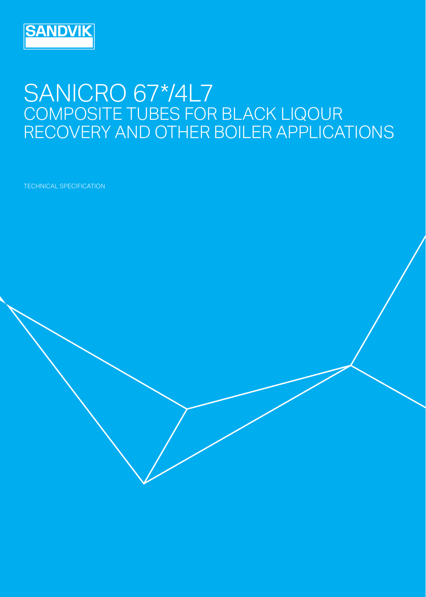

## SANICRO 6774L7 COMPOSITE TUBES FOR BLACK LIQOUR RECOVERY AND OTHER BOILER APPLICATIONS

TECHNICAL SPECIFICATION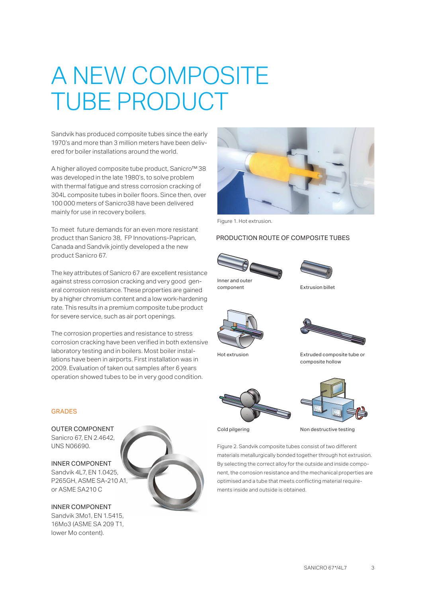# A NEW COMPOSITE TUBE PRODUCT

Sandvik has produced composite tubes since the early 1970's and more than 3 million meters have been delivered for boiler installations around the world.

A higher alloyed composite tube product, Sanicro™ 38 was developed in the late 1980's, to solve problem with thermal fatigue and stress corrosion cracking of 304L composite tubes in boiler floors. Since then, over 100 000 meters of Sanicro38 have been delivered mainly for use in recovery boilers.

To meet future demands for an even more resistant product than Sanicro 38, FP Innovations-Paprican, Canada and Sandvik jointly developed a the new product Sanicro 67.

The key attributes of Sanicro 67 are excellent resistance against stress corrosion cracking and very good general corrosion resistance. These properties are gained by a higher chromium content and a low work-hardening rate. This results in a premium composite tube product for severe service, such as air port openings.

The corrosion properties and resistance to stress corrosion cracking have been verified in both extensive laboratory testing and in boilers. Most boiler installations have been in airports. First installation was in 2009. Evaluation of taken out samples after 6 years operation showed tubes to be in very good condition.

#### GRADES

OUTER COMPONENT Sanicro 67, EN 2.4642, UNS N06690.

INNER COMPONENT Sandvik 4L7, EN 1.0425, P265GH, ASME SA-210 A1, or ASME SA210 C

INNER COMPONENT Sandvik 3Mo1, EN 1.5415, 16Mo3 (ASME SA 209 T1, lower Mo content).





Figure 1. Hot extrusion.

#### PRODUCTION ROUTE OF COMPOSITE TUBES





component Extrusion billet





composite hollow

Hot extrusion Extruded composite tube or





Cold pilgering Non destructive testing

Figure 2. Sandvik composite tubes consist of two different materials metallurgically bonded together through hot extrusion. By selecting the correct alloy for the outside and inside component, the corrosion resistance and the mechanical properties are optimised and a tube that meets conflicting material requirements inside and outside is obtained.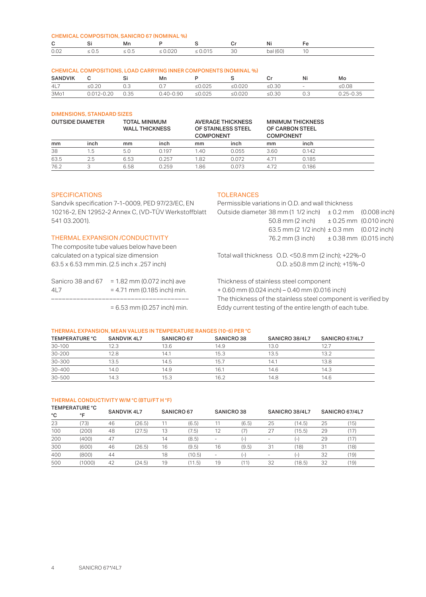| <b>CHEMICAL COMPOSITION, SANICRO 67 (NOMINAL %)</b> |            |            |              |                      |  |          |  |  |  |
|-----------------------------------------------------|------------|------------|--------------|----------------------|--|----------|--|--|--|
| C.                                                  |            | Mn         |              |                      |  | Ni       |  |  |  |
| 0.02                                                | $\leq 0.5$ | $\leq 0.5$ | $\leq 0.020$ | $\leq 0.015$<br>- 30 |  | bal (60) |  |  |  |

#### CHEMICAL COMPOSITIONS, LOAD CARRYING INNER COMPONENTS (NOMINAL %)

| <b>SANDVIK</b> |       |      | Mn                |      |        |             | Ni     | Mo           |
|----------------|-------|------|-------------------|------|--------|-------------|--------|--------------|
| 4L7            | ≤0.20 |      |                   | .025 | 0.020ء | $\leq$ 0.30 | $\sim$ | ≤0.08        |
| 3Mo1           |       | 0.35 | 0.90<br>$4() - 1$ | .025 |        | ≤0.30       | ∪.⊂    | $.25 - 0.35$ |

#### DIMENSIONS, STANDARD SIZES

| <b>OUTSIDE DIAMETER</b> |      |      | <b>TOTAL MINIMUM</b><br><b>WALL THICKNESS</b> |      | <b>AVERAGE THICKNESS</b><br>OF STAINLESS STEEL<br><b>COMPONENT</b> |      | <b>MINIMUM THICKNESS</b><br>OF CARBON STEEL<br><b>COMPONENT</b> |  |
|-------------------------|------|------|-----------------------------------------------|------|--------------------------------------------------------------------|------|-----------------------------------------------------------------|--|
| mm                      | inch | mm   | inch                                          | mm   | inch                                                               | mm   | inch                                                            |  |
| 38                      | .5   | 5.0  | 0.197                                         | 1.40 | 0.055                                                              | 3.60 | 0.142                                                           |  |
| 63.5                    | 2.5  | 6.53 | 0.257                                         | 1.82 | 0.072                                                              | 4.71 | 0.185                                                           |  |
| 76.2                    |      | 6.58 | 0.259                                         | 1.86 | 0.073                                                              | 472  | 0.186                                                           |  |

#### SPECIFICATIONS

Sandvik specification 7-1-0009, PED 97/23/EC, EN 10216-2, EN 12952-2 Annex C, (VD-TÜV Werkstoffblatt 541 03.2001).

#### THERMAL EXPANSION /CONDUCTIVITY

The composite tube values below have been calculated on a typical size dimension 63.5 x 6.53 mm min. (2.5 inch x .257 inch)

| Sanicro 38 and 67 | $= 1.82$ mm (0.072 inch) ave  |
|-------------------|-------------------------------|
| 41 7              | $= 4.71$ mm (0.185 inch) min. |
|                   |                               |
|                   | $= 6.53$ mm (0.257 inch) min. |

#### **TOLERANCES**

Permissible variations in O.D. and wall thickness Outside diameter 38 mm (1 1/2 inch)  $\pm$  0.2 mm (0.008 inch) 50.8 mm (2 inch) ± 0.25 mm (0.010 inch) 63.5 mm (2 1/2 inch) ± 0.3 mm (0.012 inch) 76.2 mm (3 inch) ± 0.38 mm (0.015 inch)

Total wall thickness O.D. <50.8 mm (2 inch); +22%-0 O.D. ≥50.8 mm (2 inch); +15%-0

Thickness of stainless steel component + 0.60 mm (0.024 inch) – 0.40 mm (0.016 inch) The thickness of the stainless steel component is verified by Eddy current testing of the entire length of each tube.

#### THERMAL EXPANSION, MEAN VALUES IN TEMPERATURE RANGES (10-6) PER °C

| <b>TEMPERATURE °C</b> | SANDVIK 4L7 | SANICRO 67 | SANICRO <sub>38</sub> | SANICRO 38/4L7 | SANICRO 67/4L7 |
|-----------------------|-------------|------------|-----------------------|----------------|----------------|
| 30-100                | 12.3        | 13.6       | 14.9                  | 13.0           | 12.7           |
| 30-200                | 12.8        | 14.1       | 15.3                  | 13.5           | 13.2           |
| 30-300                | 13.5        | 14.5       | 15.7                  | 14.1           | 13.8           |
| $30 - 400$            | 14.0        | 14.9       | 16.1                  | 14.6           | 14.3           |
| 30-500                | 14.3        | 15.3       | 16.2                  | 14.8           | 14.6           |

### THERMAL CONDUCTIVITY W/M °C (BTU/FT H °F)<br>TEMPERATURE °C

| SANICRO 67/4L7 |
|----------------|
|                |
| (15)<br>25     |
| (17)<br>29     |
| (17)<br>29     |
| (18)<br>31     |
| (19)<br>32     |
| (19)<br>32     |
|                |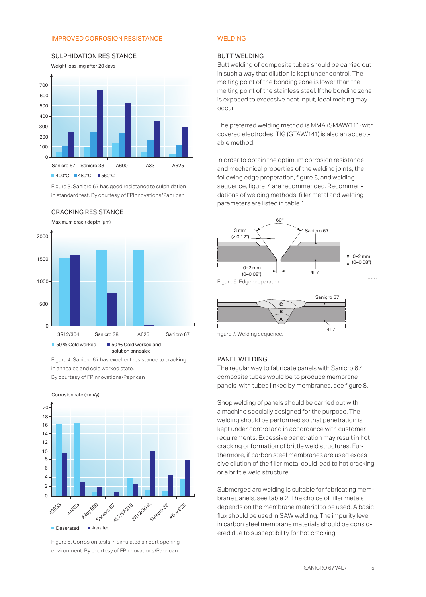#### IMPROVED CORROSION RESISTANCE



#### Weight loss, mg after 20 days SULPHIDATION RESISTANCE

Figure 3. Sanicro 67 has good resistance to sulphidation in standard test. By courtesy of FPInnovations/Paprican





Figure 4. Sanicro 67 has excellent resistance to cracking in annealed and cold worked state. By courtesy of FPInnovations/Paprican



Figure 5. Corrosion tests in simulated air port opening environment. By courtesy of FPInnovations/Paprican.

#### WELDING

#### BUTT WELDING

Butt welding of composite tubes should be carried out in such a way that dilution is kept under control. The melting point of the bonding zone is lower than the melting point of the stainless steel. If the bonding zone is exposed to excessive heat input, local melting may occur.

The preferred welding method is MMA (SMAW/111) with covered electrodes. TIG (GTAW/141) is also an acceptable method.

In order to obtain the optimum corrosion resistance and mechanical properties of the welding joints, the following edge preperation, figure 6, and welding sequence, figure 7, are recommended. Recommendations of welding methods, filler metal and welding parameters are listed in table 1.



Figure 7. Welding sequence.

#### PANEL WELDING

The regular way to fabricate panels with Sanicro 67 composite tubes would be to produce membrane panels, with tubes linked by membranes, see figure 8.

Shop welding of panels should be carried out with a machine specially designed for the purpose. The welding should be performed so that penetration is kept under control and in accordance with customer requirements. Excessive penetration may result in hot cracking or formation of brittle weld structures. Furthermore, if carbon steel membranes are used excessive dilution of the filler metal could lead to hot cracking or a brittle weld structure.

Submerged arc welding is suitable for fabricating membrane panels, see table 2. The choice of filler metals depends on the membrane material to be used. A basic flux should be used in SAW welding. The impurity level in carbon steel membrane materials should be considered due to susceptibility for hot cracking.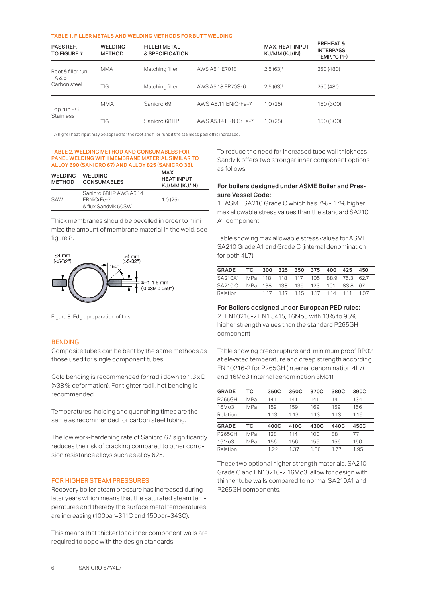#### TABLE 1. FILLER METALS AND WELDING METHODS FOR BUTT WELDING

| <b>PASS REF.</b><br>TO FIGURE 7 | <b>WELDING</b><br><b>METHOD</b> | <b>FILLER METAL</b><br>& SPECIFICATION |                      | <b>MAX. HEAT INPUT</b><br>KJ/MM (KJ/IN) | <b>PREHEAT&amp;</b><br><b>INTERPASS</b><br>TEMP. °C (°F) |
|---------------------------------|---------------------------------|----------------------------------------|----------------------|-----------------------------------------|----------------------------------------------------------|
| Root & filler run<br>$- A 8 B$  | <b>MMA</b>                      | Matching filler                        | AWS A5.1 E7018       | $2,5(63)^1$                             | 250 (480)                                                |
| Carbon steel                    | TIG                             | Matching filler                        | AWS A5.18 ER70S-6    | $2,5(63)^1$                             | 250 (480)                                                |
| Top run - $C$                   | <b>MMA</b>                      | Sanicro 69                             | AWS A5.11 ENICrFe-7  | 1,0(25)                                 | 150 (300)                                                |
| <b>Stainless</b>                | TIG                             | Sanicro 68HP                           | AWS A5.14 ERNiCrFe-7 | 1,0(25)                                 | 150 (300)                                                |

<sup>1)</sup> A higher heat input may be applied for the root and filler runs if the stainless peel off is increased.

#### TABLE 2. WELDING METHOD AND CONSUMABLES FOR PANEL WELDING WITH MEMBRANE MATERIAL SIMILAR TO ALLOY 690 (SANICRO 67) AND ALLOY 825 (SANICRO 38).

| <b>WELDING</b><br><b>METHOD</b> | WELDING<br><b>CONSUMABLES</b>                               | MAX.<br><b>HEAT INPUT</b><br>KJ/MM (KJ/IN) |
|---------------------------------|-------------------------------------------------------------|--------------------------------------------|
| SAW                             | Sanicro 68HP AWS A5.14<br>ERNiCrFe-7<br>& flux Sandvik 50SW | 1.0(25)                                    |

Thick membranes should be bevelled in order to minimize the amount of membrane material in the weld, see figure 8.



Figure 8. Edge preparation of fins.

#### BENDING

Composite tubes can be bent by the same methods as those used for single component tubes.

Cold bending is recommended for radii down to 1.3 x D (≈38 % deformation). For tighter radii, hot bending is recommended.

Temperatures, holding and quenching times are the same as recommended for carbon steel tubing.

The low work-hardening rate of Sanicro 67 significantly reduces the risk of cracking compared to other corrosion resistance alloys such as alloy 625.

#### FOR HIGHER STEAM PRESSURES

Recovery boiler steam pressure has increased during later years which means that the saturated steam temperatures and thereby the surface metal temperatures are increasing (100bar=311C and 150bar=343C).

This means that thicker load inner component walls are required to cope with the design standards.

To reduce the need for increased tube wall thickness Sandvik offers two stronger inner component options as follows.

#### For boilers designed under ASME Boiler and Pressure Vessel Code:

1. ASME SA210 Grade C which has 7% - 17% higher max allowable stress values than the standard SA210 A1 component

Table showing max allowable stress values for ASME SA210 Grade A1 and Grade C (internal denomination for both 4L7)

| GRADE TC 300 325 350 375 400 425           |  |  |                                    | - 450 |
|--------------------------------------------|--|--|------------------------------------|-------|
| SA210A1 MPa 118 118 117 105 88.9 75.3 62.7 |  |  |                                    |       |
| SA210 C MPa 138 138 135 123 101 83.8 67    |  |  |                                    |       |
| <b>Relation</b>                            |  |  | 1.17 1.17 1.15 1.17 1.14 1.11 1.07 |       |

For Boilers designed under European PED rules: 2. EN10216-2 EN1.5415, 16Mo3 with 13% to 95% higher strength values than the standard P265GH component

Table showing creep rupture and minimum proof RP02 at elevated temperature and creep strength according EN 10216-2 for P265GH (internal denomination 4L7) and 16Mo3 (internal denomination 3Mo1)

| <b>GRADE</b>       | тc  | 350C | 360C | 370C | 380C | 390C |
|--------------------|-----|------|------|------|------|------|
| <b>P265GH</b>      | MPa | 141  | 141  | 141  | 141  | 134  |
| 16M <sub>0</sub> 3 | MPa | 159  | 159  | 169  | 159  | 156  |
| Relation           |     | 1.13 | 1.13 | 1.13 | 1.13 | 1.16 |
|                    |     |      |      |      |      |      |
| <b>GRADE</b>       | тc  | 400C | 410C | 430C | 440C | 450C |
| P265GH             | MPa | 128  | 114  | 100  | 88   | 77   |
| 16Mo3              | MPa | 156  | 156  | 156  | 156  | 150  |
| Relation           |     | 1.22 | 1.37 | 1.56 | 177  | 1.95 |

These two optional higher strength materials, SA210 Grade C and EN10216-2 16Mo3 allow for design with thinner tube walls compared to normal SA210A1 and P265GH components.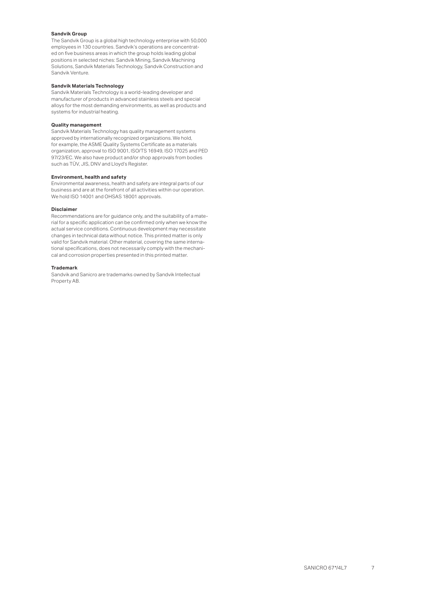#### **Sandvik Group**

The Sandvik Group is a global high technology enterprise with 50,000 employees in 130 countries. Sandvik's operations are concentrated on five business areas in which the group holds leading global positions in selected niches: Sandvik Mining, Sandvik Machining Solutions, Sandvik Materials Technology, Sandvik Construction and Sandvik Venture.

#### **Sandvik Materials Technology**

Sandvik Materials Technology is a world-leading developer and manufacturer of products in advanced stainless steels and special alloys for the most demanding environments, as well as products and systems for industrial heating.

#### **Quality management**

Sandvik Materials Technology has quality management systems approved by internationally recognized organizations. We hold, for example, the ASME Quality Systems Certificate as a materials organization, approval to ISO 9001, ISO/TS 16949, ISO 17025 and PED 97/23/EC. We also have product and/or shop approvals from bodies such as TÜV, JIS, DNV and Lloyd's Register.

#### **Environment, health and safety**

Environmental awareness, health and safety are integral parts of our business and are at the forefront of all activities within our operation. We hold ISO 14001 and OHSAS 18001 approvals.

#### **Disclaimer**

Recommendations are for guidance only, and the suitability of a material for a specific application can be confirmed only when we know the actual service conditions. Continuous development may necessitate changes in technical data without notice. This printed matter is only valid for Sandvik material. Other material, covering the same international specifications, does not necessarily comply with the mechanical and corrosion properties presented in this printed matter.

#### **Trademark**

Sandvik and Sanicro are trademarks owned by Sandvik Intellectual Property AB.